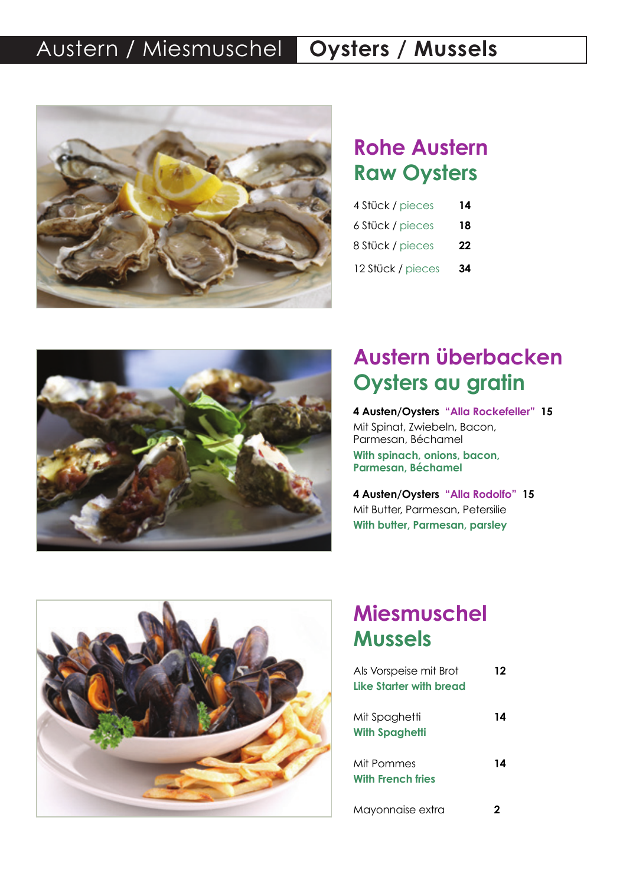### **Austern / Miesmuschel | Oysters / Mussels**



#### **Rohe Austern Raw Oysters N° 8 19.50 € 12.90 €**

| 4 Stück / pieces  | 14 |
|-------------------|----|
| 6 Stück / pieces  | 18 |
| 8 Stück / pieces  | 22 |
| 12 Stück / pieces | 34 |



# **Oysters au gratin Austern überbacken**

**12.90 € Parmesan, Béchamel 4 Austen/Oysters "Alla Rockefeller" 15** Mit Spinat, Zwiebeln, Bacon, Parmesan, Béchamel **With spinach, onions, bacon,** 

**4 Austen/Oysters "Alla Rodolfo" 15** Mit Butter, Parmesan, Petersilie **With butter, Parmesan, parsley**



# **Miesmuschel Mussels**

| Als Vorspeise mit Brot<br>Like Starter with bread | 12 |
|---------------------------------------------------|----|
| Mit Spaghetti<br><b>With Spaghetti</b>            | 14 |
| Mit Pommes<br><b>With French fries</b>            | 14 |
| Mayonnaise extra                                  | 2  |